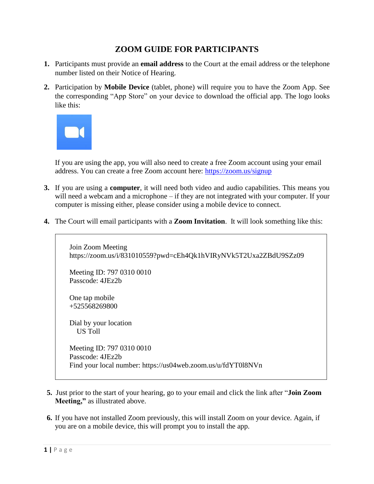## **ZOOM GUIDE FOR PARTICIPANTS**

- **1.** Participants must provide an **email address** to the Court at the email address or the telephone number listed on their Notice of Hearing.
- **2.** Participation by **Mobile Device** (tablet, phone) will require you to have the Zoom App. See the corresponding "App Store" on your device to download the official app. The logo looks like this:



 If you are using the app, you will also need to create a free Zoom account using your email address. You can create a free Zoom account here: <https://zoom.us/signup>

- **3.** If you are using a **computer**, it will need both video and audio capabilities. This means you will need a webcam and a microphone – if they are not integrated with your computer. If your computer is missing either, please consider using a mobile device to connect.
- **4.** The Court will email participants with a **Zoom Invitation**. It will look something like this:

 Join Zoom Meeting https://zoom.us/i/831010559?pwd=cEh4Qk1hVIRyNVk5T2Uxa2ZBdU9SZz09 Meeting ID: 797 0310 0010 Passcode: 4JEz2b One tap mobile +525568269800 Dial by your location US Toll Meeting ID: 797 0310 0010 Passcode: 4JEz2b Find your local number: https://us04web.zoom.us/u/fdYT0l8NVn

- **5.** Just prior to the start of your hearing, go to your email and click the link after "**Join Zoom Meeting,"** as illustrated above.
- **6.** If you have not installed Zoom previously, this will install Zoom on your device. Again, if you are on a mobile device, this will prompt you to install the app.